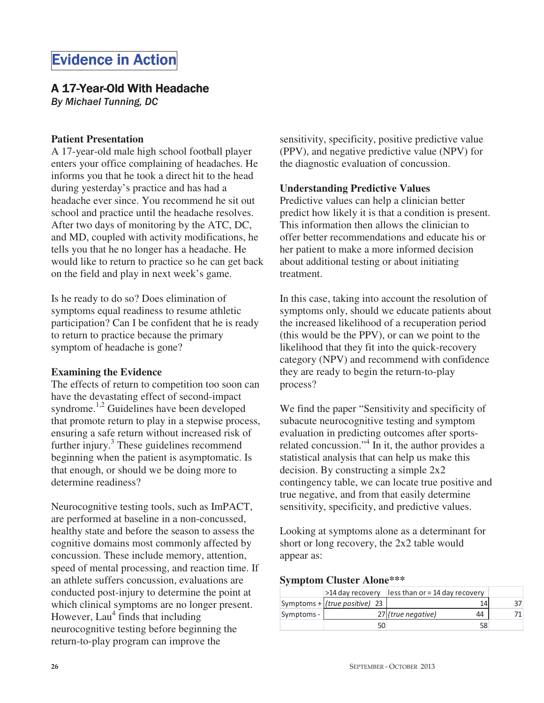# **Evidence in Action**

## A 17-Year-Old With Headache

By Michael Tunning, DC

## **Patient Presentation**

A 17-year-old male high school football player enters your office complaining of headaches. He informs you that he took a direct hit to the head during yesterday's practice and has had a headache ever since. You recommend he sit out school and practice until the headache resolves. After two days of monitoring by the ATC, DC, and MD, coupled with activity modifications, he tells you that he no longer has a headache. He would like to return to practice so he can get back on the field and play in next week's game.

Is he ready to do so? Does elimination of symptoms equal readiness to resume athletic participation? Can I be confident that he is ready to return to practice because the primary symptom of headache is gone?

### **Examining the Evidence**

The effects of return to competition too soon can have the devastating effect of second-impact syndrome.<sup>1,2</sup> Guidelines have been developed that promote return to play in a stepwise process, ensuring a safe return without increased risk of further injury.<sup>3</sup> These guidelines recommend beginning when the patient is asymptomatic. Is that enough, or should we be doing more to determine readiness?

Neurocognitive testing tools, such as ImPACT, are performed at baseline in a non-concussed, healthy state and before the season to assess the cognitive domains most commonly affected by concussion. These include memory, attention, speed of mental processing, and reaction time. If an athlete suffers concussion, evaluations are conducted post-injury to determine the point at which clinical symptoms are no longer present. However, Lau<sup>4</sup> finds that including neurocognitive testing before beginning the return-to-play program can improve the

sensitivity, specificity, positive predictive value (PPV), and negative predictive value (NPV) for the diagnostic evaluation of concussion.

## **Understanding Predictive Values**

Predictive values can help a clinician better predict how likely it is that a condition is present. This information then allows the clinician to offer better recommendations and educate his or her patient to make a more informed decision about additional testing or about initiating treatment.

In this case, taking into account the resolution of symptoms only, should we educate patients about the increased likelihood of a recuperation period (this would be the PPV), or can we point to the likelihood that they fit into the quick-recovery category (NPV) and recommend with confidence they are ready to begin the return-to-play process?

We find the paper "Sensitivity and specificity of subacute neurocognitive testing and symptom evaluation in predicting outcomes after sportsrelated concussion."4 In it, the author provides a statistical analysis that can help us make this decision. By constructing a simple 2x2 contingency table, we can locate true positive and true negative, and from that easily determine sensitivity, specificity, and predictive values.

Looking at symptoms alone as a determinant for short or long recovery, the 2x2 table would appear as:

#### **Symptom Cluster Alone\*\*\***

|            | >14 day recovery                | $\vert$ less than or = 14 day recovery |  |
|------------|---------------------------------|----------------------------------------|--|
|            | Symptoms + $(true positive)$ 23 | 14                                     |  |
| Symptoms - |                                 | 27 (true negative)<br>44               |  |
|            |                                 | 58                                     |  |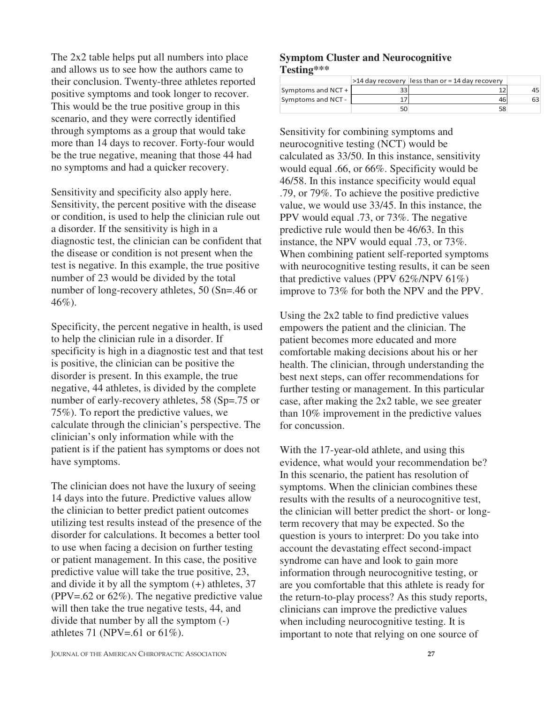The 2x2 table helps put all numbers into place and allows us to see how the authors came to their conclusion. Twenty-three athletes reported positive symptoms and took longer to recover. This would be the true positive group in this scenario, and they were correctly identified through symptoms as a group that would take more than 14 days to recover. Forty-four would be the true negative, meaning that those 44 had no symptoms and had a quicker recovery.

Sensitivity and specificity also apply here. Sensitivity, the percent positive with the disease or condition, is used to help the clinician rule out a disorder. If the sensitivity is high in a diagnostic test, the clinician can be confident that the disease or condition is not present when the test is negative. In this example, the true positive number of 23 would be divided by the total number of long-recovery athletes, 50 (Sn=.46 or 46%).

Specificity, the percent negative in health, is used to help the clinician rule in a disorder. If specificity is high in a diagnostic test and that test is positive, the clinician can be positive the disorder is present. In this example, the true negative, 44 athletes, is divided by the complete number of early-recovery athletes, 58 (Sp=.75 or 75%). To report the predictive values, we calculate through the clinician's perspective. The clinician's only information while with the patient is if the patient has symptoms or does not have symptoms.

The clinician does not have the luxury of seeing 14 days into the future. Predictive values allow the clinician to better predict patient outcomes utilizing test results instead of the presence of the disorder for calculations. It becomes a better tool to use when facing a decision on further testing or patient management. In this case, the positive predictive value will take the true positive, 23, and divide it by all the symptom  $(+)$  athletes, 37 (PPV=.62 or 62%). The negative predictive value will then take the true negative tests, 44, and divide that number by all the symptom (-) athletes 71 (NPV=.61 or 61%).

#### **Symptom Cluster and Neurocognitive Testing\*\*\***

|                    | $>$ 14 day recovery less than or = 14 day recovery |    |
|--------------------|----------------------------------------------------|----|
| Symptoms and NCT + |                                                    | 45 |
| Symptoms and NCT - | 46                                                 | 63 |
|                    | 58                                                 |    |

Sensitivity for combining symptoms and neurocognitive testing (NCT) would be calculated as 33/50. In this instance, sensitivity would equal .66, or 66%. Specificity would be 46/58. In this instance specificity would equal .79, or 79%. To achieve the positive predictive value, we would use 33/45. In this instance, the PPV would equal .73, or 73%. The negative predictive rule would then be 46/63. In this instance, the NPV would equal .73, or 73%. When combining patient self-reported symptoms with neurocognitive testing results, it can be seen that predictive values (PPV  $62\%$ /NPV  $61\%$ ) improve to 73% for both the NPV and the PPV.

Using the 2x2 table to find predictive values empowers the patient and the clinician. The patient becomes more educated and more comfortable making decisions about his or her health. The clinician, through understanding the best next steps, can offer recommendations for further testing or management. In this particular case, after making the 2x2 table, we see greater than 10% improvement in the predictive values for concussion.

With the 17-year-old athlete, and using this evidence, what would your recommendation be? In this scenario, the patient has resolution of symptoms. When the clinician combines these results with the results of a neurocognitive test, the clinician will better predict the short- or longterm recovery that may be expected. So the question is yours to interpret: Do you take into account the devastating effect second-impact syndrome can have and look to gain more information through neurocognitive testing, or are you comfortable that this athlete is ready for the return-to-play process? As this study reports, clinicians can improve the predictive values when including neurocognitive testing. It is important to note that relying on one source of